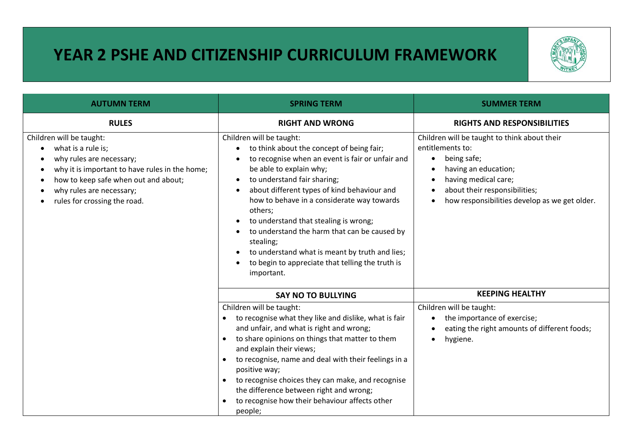## **YEAR 2 PSHE AND CITIZENSHIP CURRICULUM FRAMEWORK**



| <b>AUTUMN TERM</b>                                                                                                                                                                                                               | <b>SPRING TERM</b>                                                                                                                                                                                                                                                                                                                                                                                                                                                                                                    | <b>SUMMER TERM</b>                                                                                                                                                                                                                                                    |
|----------------------------------------------------------------------------------------------------------------------------------------------------------------------------------------------------------------------------------|-----------------------------------------------------------------------------------------------------------------------------------------------------------------------------------------------------------------------------------------------------------------------------------------------------------------------------------------------------------------------------------------------------------------------------------------------------------------------------------------------------------------------|-----------------------------------------------------------------------------------------------------------------------------------------------------------------------------------------------------------------------------------------------------------------------|
| <b>RULES</b>                                                                                                                                                                                                                     | <b>RIGHT AND WRONG</b>                                                                                                                                                                                                                                                                                                                                                                                                                                                                                                | <b>RIGHTS AND RESPONSIBILITIES</b>                                                                                                                                                                                                                                    |
| Children will be taught:<br>what is a rule is;<br>why rules are necessary;<br>why it is important to have rules in the home;<br>how to keep safe when out and about;<br>why rules are necessary;<br>rules for crossing the road. | Children will be taught:<br>to think about the concept of being fair;<br>to recognise when an event is fair or unfair and<br>be able to explain why;<br>to understand fair sharing;<br>about different types of kind behaviour and<br>how to behave in a considerate way towards<br>others;<br>to understand that stealing is wrong;<br>to understand the harm that can be caused by<br>stealing;<br>to understand what is meant by truth and lies;<br>to begin to appreciate that telling the truth is<br>important. | Children will be taught to think about their<br>entitlements to:<br>being safe;<br>$\bullet$<br>having an education;<br>having medical care;<br>$\bullet$<br>about their responsibilities;<br>$\bullet$<br>how responsibilities develop as we get older.<br>$\bullet$ |
|                                                                                                                                                                                                                                  | <b>SAY NO TO BULLYING</b>                                                                                                                                                                                                                                                                                                                                                                                                                                                                                             | <b>KEEPING HEALTHY</b>                                                                                                                                                                                                                                                |
|                                                                                                                                                                                                                                  | Children will be taught:<br>to recognise what they like and dislike, what is fair<br>and unfair, and what is right and wrong;<br>to share opinions on things that matter to them<br>and explain their views;<br>to recognise, name and deal with their feelings in a<br>positive way;<br>to recognise choices they can make, and recognise<br>the difference between right and wrong;<br>to recognise how their behaviour affects other<br>people;                                                                    | Children will be taught:<br>the importance of exercise;<br>$\bullet$<br>eating the right amounts of different foods;<br>$\bullet$<br>hygiene.<br>$\bullet$                                                                                                            |